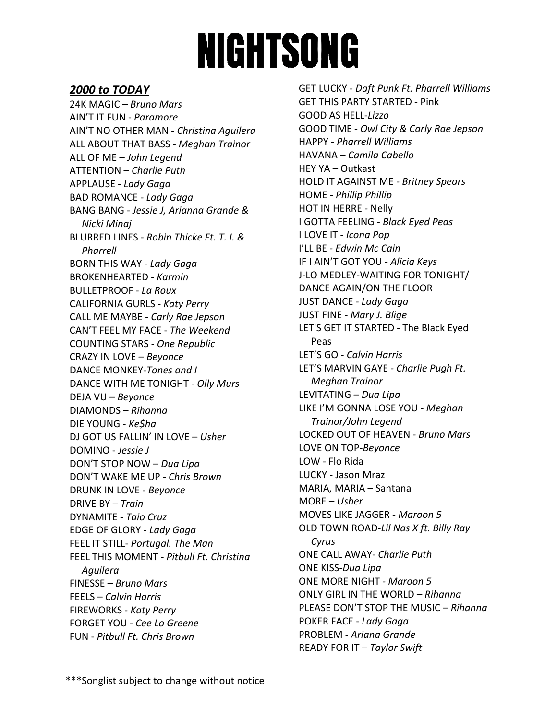# **NIGHTSONG**

## **2000 to TODAY**

24K MAGIC – *Bruno Mars* AIN'T IT FUN - *Paramore*  AIN'T NO OTHER MAN - *Christina Aguilera*  ALL ABOUT THAT BASS - *Meghan Trainor* ALL OF ME – *John Legend* ATTENTION – *Charlie Puth* APPLAUSE - *Lady Gaga* BAD ROMANCE - *Lady Gaga*  BANG BANG - *Jessie J, Arianna Grande & Nicki Minaj*  BLURRED LINES - *Robin Thicke Ft. T. I. & Pharrell*  BORN THIS WAY - *Lady Gaga* BROKENHEARTED - *Karmin*  BULLETPROOF - *La Roux* CALIFORNIA GURLS - *Katy Perry* CALL ME MAYBE - *Carly Rae Jepson* CAN'T FEEL MY FACE - *The Weekend* COUNTING STARS - *One Republic* CRAZY IN LOVE – *Beyonce* DANCE MONKEY-*Tones and I* DANCE WITH ME TONIGHT - *Olly Murs* DEJA VU – *Beyonce* DIAMONDS – *Rihanna* DIE YOUNG - *Ke\$ha* DJ GOT US FALLIN' IN LOVE – *Usher* DOMINO - *Jessie J* DON'T STOP NOW – *Dua Lipa* DON'T WAKE ME UP - *Chris Brown* DRUNK IN LOVE - *Beyonce* DRIVE BY – *Train* DYNAMITE - *Taio Cruz* EDGE OF GLORY - *Lady Gaga* FEEL IT STILL- *Portugal. The Man* FEEL THIS MOMENT - *Pitbull Ft. Christina Aguilera*  FINESSE – *Bruno Mars* FEELS – *Calvin Harris* FIREWORKS - *Katy Perry*  FORGET YOU - *Cee Lo Greene* FUN - *Pitbull Ft. Chris Brown*

GET LUCKY - *Daft Punk Ft. Pharrell Williams* GET THIS PARTY STARTED - Pink GOOD AS HELL-*Lizzo* GOOD TIME - *Owl City & Carly Rae Jepson* HAPPY - *Pharrell Williams* HAVANA – *Camila Cabello* HEY YA – Outkast HOLD IT AGAINST ME - *Britney Spears* HOME - *Phillip Phillip* HOT IN HERRE - Nelly I GOTTA FEELING - *Black Eyed Peas* I LOVE IT - *Icona Pop* I'LL BE - *Edwin Mc Cain* IF I AIN'T GOT YOU - *Alicia Keys* J-LO MEDLEY-WAITING FOR TONIGHT/ DANCE AGAIN/ON THE FLOOR JUST DANCE - *Lady Gaga* JUST FINE - *Mary J. Blige* LET'S GET IT STARTED - The Black Eyed Peas LET'S GO - *Calvin Harris* LET'S MARVIN GAYE - *Charlie Pugh Ft. Meghan Trainor*  LEVITATING – *Dua Lipa* LIKE I'M GONNA LOSE YOU - *Meghan Trainor/John Legend*  LOCKED OUT OF HEAVEN - *Bruno Mars* LOVE ON TOP-*Beyonce* LOW - Flo Rida LUCKY - Jason Mraz MARIA, MARIA – Santana MORE – *Usher* MOVES LIKE JAGGER - *Maroon 5* OLD TOWN ROAD-*Lil Nas X ft. Billy Ray Cyrus* ONE CALL AWAY- *Charlie Puth* ONE KISS-*Dua Lipa* ONE MORE NIGHT - *Maroon 5* ONLY GIRL IN THE WORLD – *Rihanna* PLEASE DON'T STOP THE MUSIC – *Rihanna* POKER FACE - *Lady Gaga* PROBLEM - *Ariana Grande* READY FOR IT – *Taylor Swift*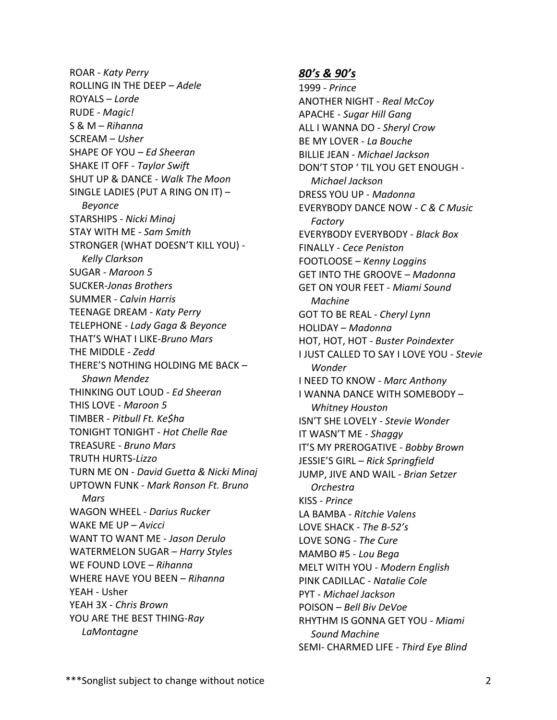ROAR - *Katy Perry* ROLLING IN THE DEEP – *Adele* ROYALS – *Lorde* RUDE - *Magic!*  S & M – *Rihanna* SCREAM – *Usher* SHAPE OF YOU – *Ed Sheeran* SHAKE IT OFF - *Taylor Swift* SHUT UP & DANCE - *Walk The Moon* SINGLE LADIES (PUT A RING ON IT) – *Beyonce* STARSHIPS - *Nicki Minaj* STAY WITH ME - *Sam Smith* STRONGER (WHAT DOESN'T KILL YOU) - *Kelly Clarkson* SUGAR - *Maroon 5* SUCKER-*Jonas Brothers* SUMMER - *Calvin Harris* TEENAGE DREAM - *Katy Perry* TELEPHONE - *Lady Gaga & Beyonce* THAT'S WHAT I LIKE-*Bruno Mars* THE MIDDLE - *Zedd* THERE'S NOTHING HOLDING ME BACK – *Shawn Mendez* THINKING OUT LOUD - *Ed Sheeran* THIS LOVE - *Maroon 5* TIMBER - *Pitbull Ft. Ke\$ha* TONIGHT TONIGHT - *Hot Chelle Rae* TREASURE - *Bruno Mars* TRUTH HURTS-*Lizzo* TURN ME ON - *David Guetta & Nicki Minaj* UPTOWN FUNK - *Mark Ronson Ft. Bruno Mars* WAGON WHEEL - *Darius Rucker* WAKE ME UP – *Avicci* WANT TO WANT ME - *Jason Derulo* WATERMELON SUGAR – *Harry Styles* WE FOUND LOVE – *Rihanna* WHERE HAVE YOU BEEN – *Rihanna* YEAH - Usher YEAH 3X - *Chris Brown*  YOU ARE THE BEST THING-*Ray LaMontagne*

## *80's & 90's*

1999 - *Prince* ANOTHER NIGHT *- Real McCoy* APACHE - *Sugar Hill Gang* ALL I WANNA DO - *Sheryl Crow* BE MY LOVER - *La Bouche* BILLIE JEAN - *Michael Jackson* DON'T STOP ' TIL YOU GET ENOUGH - *Michael Jackson* DRESS YOU UP - *Madonna* EVERYBODY DANCE NOW - *C & C Music Factory* EVERYBODY EVERYBODY - *Black Box* FINALLY - *Cece Peniston*  FOOTLOOSE – *Kenny Loggins* GET INTO THE GROOVE – *Madonna* GET ON YOUR FEET - *Miami Sound Machine* GOT TO BE REAL - *Cheryl Lynn* HOLIDAY – *Madonna* HOT, HOT, HOT - *Buster Poindexter* I JUST CALLED TO SAY I LOVE YOU - *Stevie Wonder* I NEED TO KNOW - *Marc Anthony* I WANNA DANCE WITH SOMEBODY – *Whitney Houston* ISN'T SHE LOVELY - *Stevie Wonder* IT WASN'T ME - *Shaggy* IT'S MY PREROGATIVE - *Bobby Brown* JESSIE'S GIRL – *Rick Springfield*  JUMP, JIVE AND WAIL - *Brian Setzer Orchestra* KISS - *Prince* LA BAMBA - *Ritchie Valens* LOVE SHACK *- The B-52's* LOVE SONG - *The Cure* MAMBO #5 - *Lou Bega* MELT WITH YOU - *Modern English* PINK CADILLAC - *Natalie Cole* PYT - *Michael Jackson* POISON – *Bell Biv DeVoe* RHYTHM IS GONNA GET YOU - *Miami Sound Machine* SEMI- CHARMED LIFE - *Third Eye Blind*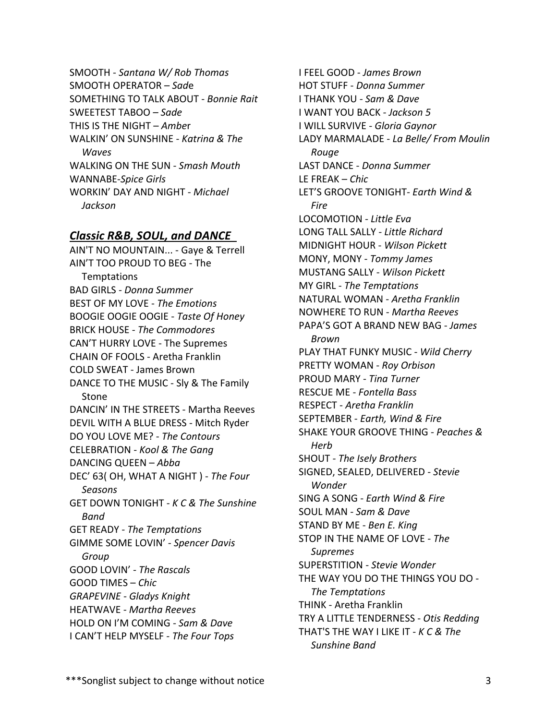SMOOTH - *Santana W/ Rob Thomas*  SMOOTH OPERATOR – *Sad*e SOMETHING TO TALK ABOUT - *Bonnie Rait* SWEETEST TABOO *– Sade* THIS IS THE NIGHT – *Ambe*r WALKIN' ON SUNSHINE - *Katrina & The Waves* WALKING ON THE SUN - *Smash Mouth* WANNABE-*Spice Girls* WORKIN' DAY AND NIGHT - *Michael Jackson*

## *Classic R&B, SOUL, and DANCE*

AIN'T NO MOUNTAIN... - Gaye & Terrell AIN'T TOO PROUD TO BEG - The Temptations BAD GIRLS - *Donna Summer* BEST OF MY LOVE - *The Emotions*  BOOGIE OOGIE OOGIE - *Taste Of Honey*  BRICK HOUSE - *The Commodores*  CAN'T HURRY LOVE - The Supremes CHAIN OF FOOLS - Aretha Franklin COLD SWEAT - James Brown DANCE TO THE MUSIC - Sly & The Family Stone DANCIN' IN THE STREETS - Martha Reeves DEVIL WITH A BLUE DRESS - Mitch Ryder DO YOU LOVE ME? - *The Contours* CELEBRATION - *Kool & The Gang* DANCING QUEEN – *Abba* DEC' 63( OH, WHAT A NIGHT ) - *The Four Seasons* GET DOWN TONIGHT - *K C & The Sunshine Band* GET READY *- The Temptations*  GIMME SOME LOVIN' *- Spencer Davis Group*  GOOD LOVIN' *- The Rascals* GOOD TIMES – *Chic GRAPEVINE - Gladys Knight* HEATWAVE *- Martha Reeves* HOLD ON I'M COMING *- Sam & Dave* I CAN'T HELP MYSELF *- The Four Tops*

I FEEL GOOD *- James Brown* HOT STUFF - *Donna Summer* I THANK YOU *- Sam & Dave*  I WANT YOU BACK *- Jackson 5* I WILL SURVIVE *- Gloria Gaynor* LADY MARMALADE - *La Belle/ From Moulin Rouge* LAST DANCE - *Donna Summer* LE FREAK – *Chic* LET'S GROOVE TONIGHT*- Earth Wind & Fire* LOCOMOTION *- Little Eva*  LONG TALL SALLY *- Little Richard* MIDNIGHT HOUR - *Wilson Pickett* MONY, MONY - *Tommy James* MUSTANG SALLY - *Wilson Pickett* MY GIRL - *The Temptations* NATURAL WOMAN - *Aretha Franklin* NOWHERE TO RUN - *Martha Reeves* PAPA'S GOT A BRAND NEW BAG - *James Brown* PLAY THAT FUNKY MUSIC - *Wild Cherry* PRETTY WOMAN - *Roy Orbison* PROUD MARY - *Tina Turner* RESCUE ME - *Fontella Bass* RESPECT - *Aretha Franklin* SEPTEMBER - *Earth, Wind & Fire*  SHAKE YOUR GROOVE THING - *Peaches & Herb*  SHOUT *- The Isely Brothers* SIGNED, SEALED, DELIVERED - *Stevie Wonder* SING A SONG - *Earth Wind & Fire* SOUL MAN *- Sam & Dave* STAND BY ME - *Ben E. King* STOP IN THE NAME OF LOVE *- The Supremes* SUPERSTITION - *Stevie Wonder* THE WAY YOU DO THE THINGS YOU DO *- The Temptations* THINK - Aretha Franklin TRY A LITTLE TENDERNESS - *Otis Redding* THAT'S THE WAY I LIKE IT - *K C & The Sunshine Band*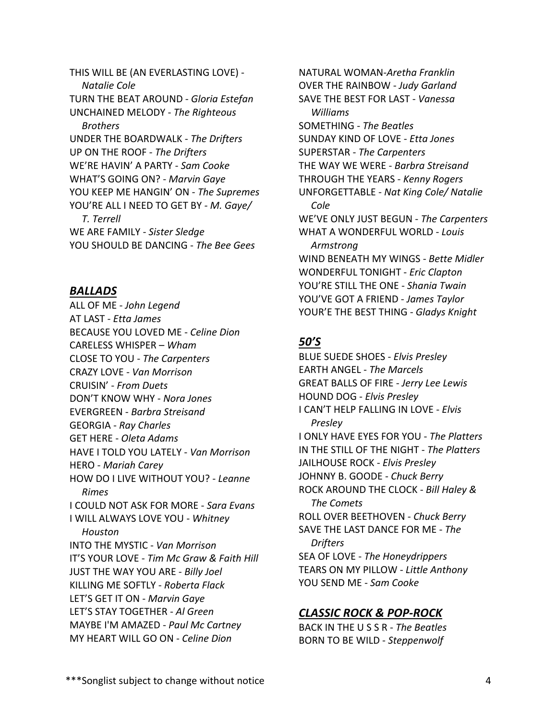THIS WILL BE (AN EVERLASTING LOVE) - *Natalie Cole* TURN THE BEAT AROUND - *Gloria Estefan*  UNCHAINED MELODY - *The Righteous Brothers* UNDER THE BOARDWALK - *The Drifters* UP ON THE ROOF *- The Drifters* WE'RE HAVIN' A PARTY - *Sam Cooke* WHAT'S GOING ON? - *Marvin Gaye* YOU KEEP ME HANGIN' ON *- The Supremes* YOU'RE ALL I NEED TO GET BY *- M. Gaye/ T. Terrell* WE ARE FAMILY - *Sister Sledge* YOU SHOULD BE DANCING - *The Bee Gees*

### BALLADS

ALL OF ME - *John Legend*  AT LAST - *Etta James* BECAUSE YOU LOVED ME - *Celine Dion* CARELESS WHISPER – *Wham* CLOSE TO YOU - *The Carpenters* CRAZY LOVE - *Van Morrison* CRUISIN' - *From Duets* DON'T KNOW WHY - *Nora Jones*  EVERGREEN - *Barbra Streisand* GEORGIA - *Ray Charles* GET HERE - *Oleta Adams*  HAVE I TOLD YOU LATELY - *Van Morrison* HERO - *Mariah Carey* HOW DO I LIVE WITHOUT YOU? - *Leanne Rimes*  I COULD NOT ASK FOR MORE - *Sara Evans*  I WILL ALWAYS LOVE YOU - *Whitney Houston* INTO THE MYSTIC - *Van Morrison* IT'S YOUR LOVE - *Tim Mc Graw & Faith Hill* JUST THE WAY YOU ARE - *Billy Joel* KILLING ME SOFTLY - *Roberta Flack* LET'S GET IT ON - *Marvin Gaye* LET'S STAY TOGETHER - *Al Green* MAYBE I'M AMAZED - *Paul Mc Cartney* MY HEART WILL GO ON - *Celine Dion*

NATURAL WOMAN-*Aretha Franklin* OVER THE RAINBOW - *Judy Garland* SAVE THE BEST FOR LAST - *Vanessa Williams* SOMETHING - *The Beatles* SUNDAY KIND OF LOVE - *Etta Jones* SUPERSTAR - *The Carpenters* THE WAY WE WERE - *Barbra Streisand* THROUGH THE YEARS - *Kenny Rogers* UNFORGETTABLE - *Nat King Cole/ Natalie Cole* WE'VE ONLY JUST BEGUN - *The Carpenters* WHAT A WONDERFUL WORLD - *Louis Armstrong* WIND BENEATH MY WINGS - *Bette Midler* WONDERFUL TONIGHT - *Eric Clapton* YOU'RE STILL THE ONE - *Shania Twain* YOU'VE GOT A FRIEND - *James Taylor* YOUR'E THE BEST THING - *Gladys Knight*

# *50'S40*

BLUE SUEDE SHOES - *Elvis Presley*  EARTH ANGEL - *The Marcels* GREAT BALLS OF FIRE - *Jerry Lee Lewis* HOUND DOG - *Elvis Presley* I CAN'T HELP FALLING IN LOVE - *Elvis Presley*  I ONLY HAVE EYES FOR YOU - *The Platters*  IN THE STILL OF THE NIGHT - *The Platters* JAILHOUSE ROCK - *Elvis Presley* JOHNNY B. GOODE - *Chuck Berry*  ROCK AROUND THE CLOCK - *Bill Haley & The Comets* ROLL OVER BEETHOVEN - *Chuck Berry* SAVE THE LAST DANCE FOR ME - *The Drifters*  SEA OF LOVE - *The Honeydrippers*  TEARS ON MY PILLOW - *Little Anthony* YOU SEND ME - *Sam Cooke* 

# **CLASSIC ROCK & POP-ROCK**

BACK IN THE U S S R - *The Beatles*  BORN TO BE WILD - *Steppenwolf*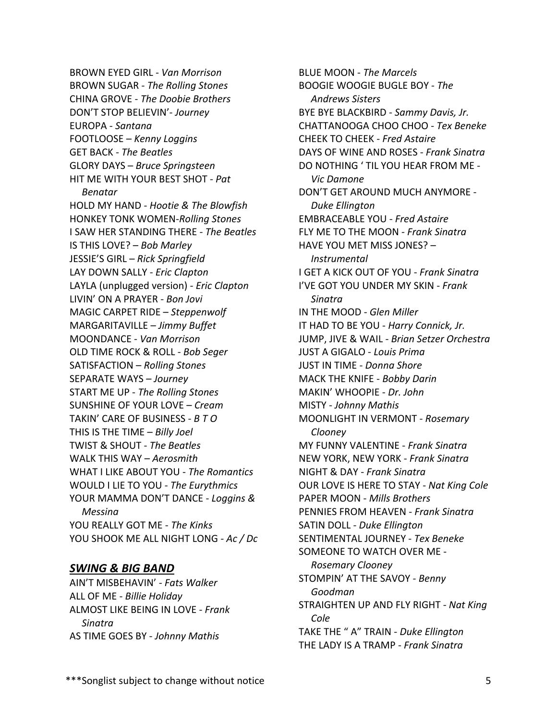BROWN EYED GIRL *- Van Morrison* BROWN SUGAR - *The Rolling Stones* CHINA GROVE - *The Doobie Brothers* DON'T STOP BELIEVIN'- *Journey* EUROPA - *Santana* FOOTLOOSE – *Kenny Loggins* GET BACK - *The Beatles* GLORY DAYS – *Bruce Springsteen* HIT ME WITH YOUR BEST SHOT - *Pat Benatar* HOLD MY HAND - *Hootie & The Blowfish* HONKEY TONK WOMEN-*Rolling Stones* I SAW HER STANDING THERE - *The Beatles*  IS THIS LOVE? – *Bob Marley* JESSIE'S GIRL – *Rick Springfield* LAY DOWN SALLY - *Eric Clapton* LAYLA (unplugged version) *- Eric Clapton* LIVIN' ON A PRAYER - *Bon Jovi* MAGIC CARPET RIDE – *Steppenwolf* MARGARITAVILLE – *Jimmy Buffet* MOONDANCE - *Van Morrison* OLD TIME ROCK & ROLL - *Bob Seger* SATISFACTION – *Rolling Stones* SEPARATE WAYS *– Journey* START ME UP - *The Rolling Stones* SUNSHINE OF YOUR LOVE – *Cream* TAKIN' CARE OF BUSINESS - *B T O* THIS IS THE TIME – *Billy Joel* TWIST & SHOUT - *The Beatles* WALK THIS WAY – *Aerosmith* WHAT I LIKE ABOUT YOU - *The Romantics* WOULD I LIE TO YOU - *The Eurythmics* YOUR MAMMA DON'T DANCE - *Loggins & Messina* YOU REALLY GOT ME - *The Kinks* YOU SHOOK ME ALL NIGHT LONG *- Ac / Dc*

## **SWING & BIG BAND**

AIN'T MISBEHAVIN' - *Fats Walker*  ALL OF ME - *Billie Holiday*  ALMOST LIKE BEING IN LOVE - *Frank Sinatra*  AS TIME GOES BY - *Johnny Mathis* 

BLUE MOON - *The Marcels*  BOOGIE WOOGIE BUGLE BOY - *The Andrews Sisters*  BYE BYE BLACKBIRD - *Sammy Davis, Jr.*  CHATTANOOGA CHOO CHOO - *Tex Beneke*  CHEEK TO CHEEK - *Fred Astaire*  DAYS OF WINE AND ROSES - *Frank Sinatra*  DO NOTHING ' TIL YOU HEAR FROM ME - *Vic Damone*  DON'T GET AROUND MUCH ANYMORE - *Duke Ellington*  EMBRACEABLE YOU - *Fred Astaire* FLY ME TO THE MOON - *Frank Sinatra* HAVE YOU MET MISS JONES? – *Instrumental* I GET A KICK OUT OF YOU - *Frank Sinatra* I'VE GOT YOU UNDER MY SKIN - *Frank Sinatra* IN THE MOOD - *Glen Miller* IT HAD TO BE YOU - *Harry Connick, Jr.* JUMP, JIVE & WAIL - *Brian Setzer Orchestra* JUST A GIGALO - *Louis Prima* JUST IN TIME - *Donna Shore* MACK THE KNIFE - *Bobby Darin* MAKIN' WHOOPIE - *Dr. John* MISTY - *Johnny Mathis* MOONLIGHT IN VERMONT - *Rosemary Clooney* MY FUNNY VALENTINE - *Frank Sinatra* NEW YORK, NEW YORK - *Frank Sinatra* NIGHT & DAY - *Frank Sinatra* OUR LOVE IS HERE TO STAY - *Nat King Cole* PAPER MOON - *Mills Brothers* PENNIES FROM HEAVEN - *Frank Sinatra*  SATIN DOLL - *Duke Ellington*  SENTIMENTAL JOURNEY - *Tex Beneke*  SOMEONE TO WATCH OVER ME - *Rosemary Clooney*  STOMPIN' AT THE SAVOY - *Benny Goodman* STRAIGHTEN UP AND FLY RIGHT - *Nat King Cole* TAKE THE " A" TRAIN - *Duke Ellington* THE LADY IS A TRAMP - *Frank Sinatra*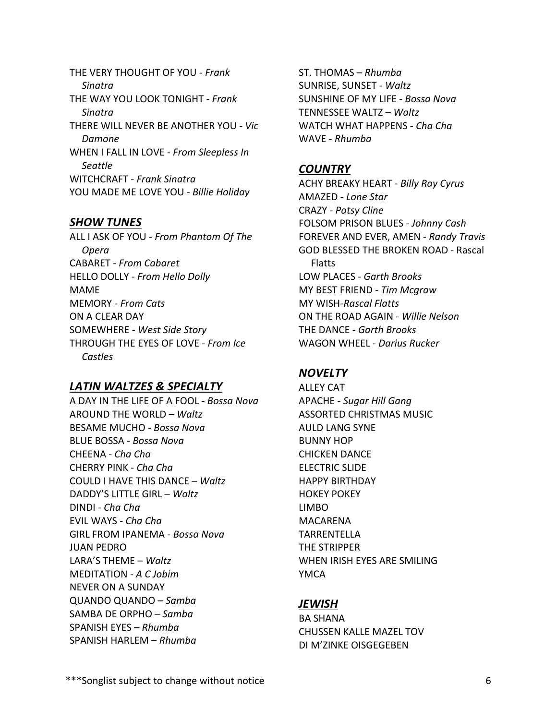THE VERY THOUGHT OF YOU - *Frank Sinatra* THE WAY YOU LOOK TONIGHT - *Frank Sinatra* THERE WILL NEVER BE ANOTHER YOU - *Vic Damone*  WHEN I FALL IN LOVE - *From Sleepless In Seattle*  WITCHCRAFT - *Frank Sinatra*  YOU MADE ME LOVE YOU - *Billie Holiday* 

#### **SHOW TUNES**

ALL I ASK OF YOU - *From Phantom Of The Opera* CABARET - *From Cabaret* HELLO DOLLY - *From Hello Dolly* MAME MEMORY - *From Cats* ON A CLEAR DAY SOMEWHERE - *West Side Story* THROUGH THE EYES OF LOVE - *From Ice Castles* 

### **LATIN WALTZES & SPECIALTY**

A DAY IN THE LIFE OF A FOOL - *Bossa Nova*  AROUND THE WORLD – *Waltz* BESAME MUCHO - *Bossa Nova* BLUE BOSSA - *Bossa Nova* CHEENA - *Cha Cha*  CHERRY PINK - *Cha Cha* COULD I HAVE THIS DANCE – *Waltz* DADDY'S LITTLE GIRL – *Waltz* DINDI - *Cha Cha* EVIL WAYS - *Cha Cha* GIRL FROM IPANEMA - *Bossa Nova*  JUAN PEDRO LARA'S THEME – *Waltz* MEDITATION - *A C Jobim* NEVER ON A SUNDAY QUANDO QUANDO – *Samba* SAMBA DE ORPHO – *Samba* SPANISH EYES – *Rhumba* SPANISH HARLEM – *Rhumba*

ST. THOMAS – *Rhumba* SUNRISE, SUNSET - *Waltz*  SUNSHINE OF MY LIFE - *Bossa Nova* TENNESSEE WALTZ – *Waltz* WATCH WHAT HAPPENS - *Cha Cha* WAVE - *Rhumba* 

#### **COUNTRY**

ACHY BREAKY HEART - *Billy Ray Cyrus*  AMAZED - *Lone Star* CRAZY - *Patsy Cline* FOLSOM PRISON BLUES - *Johnny Cash* FOREVER AND EVER, AMEN - *Randy Travis* GOD BLESSED THE BROKEN ROAD - Rascal Flatts LOW PLACES - *Garth Brooks* MY BEST FRIEND - *Tim Mcgraw* MY WISH-*Rascal Flatts* ON THE ROAD AGAIN - *Willie Nelson* THE DANCE - *Garth Brooks* WAGON WHEEL - *Darius Rucker* 

#### **NOVELTY**

ALLEY CAT APACHE - *Sugar Hill Gang*  ASSORTED CHRISTMAS MUSIC AULD LANG SYNE BUNNY HOP CHICKEN DANCE ELECTRIC SLIDE HAPPY BIRTHDAY HOKEY POKEY LIMBO MACARENA TARRENTELLA THE STRIPPER WHEN IRISH EYES ARE SMILING YMCA

#### *JEWISH*

BA SHANA CHUSSEN KALLE MAZEL TOV DI M'ZINKE OISGEGEBEN